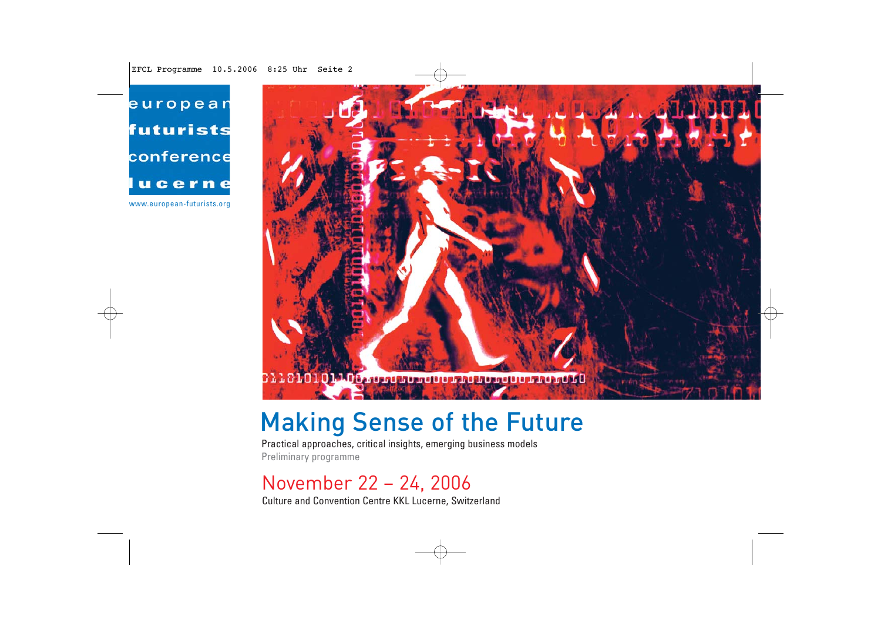european futurists conference lucerne

www.european-futurists.org



# Making Sense of the Future

Practical approaches, critical insights, emerging business models Preliminary programme

## November 22 – 24, 2006

Culture and Convention Centre KKL Lucerne, Switzerland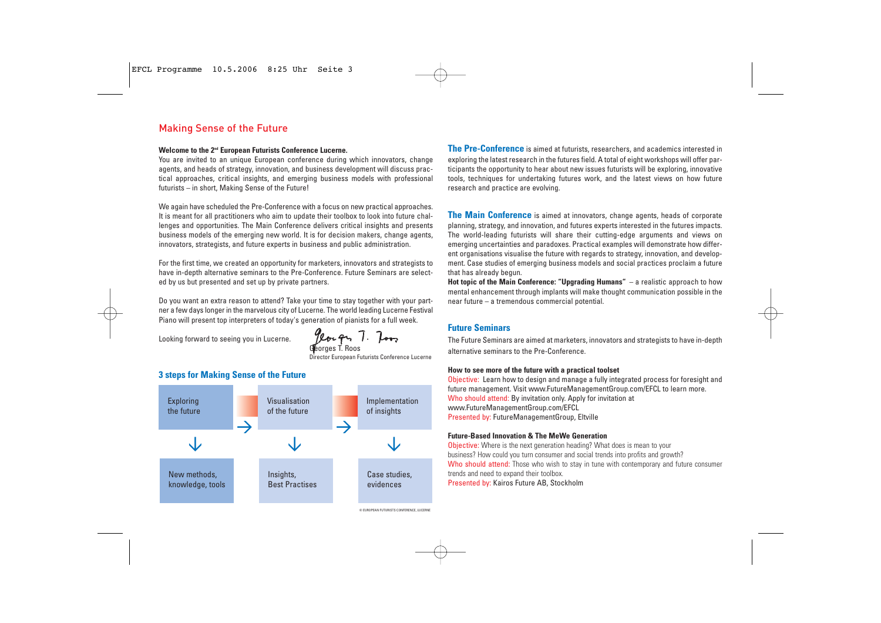### Making Sense of the Future

### **Welcome to the 2nd European Futurists Conference Lucerne.**

You are invited to an unique European conference during which innovators, change agents, and heads of strategy, innovation, and business development will discuss practical approaches, critical insights, and emerging business models with professional futurists – in short, Making Sense of the Future!

We again have scheduled the Pre-Conference with a focus on new practical approaches. It is meant for all practitioners who aim to update their toolbox to look into future challenges and opportunities. The Main Conference delivers critical insights and presents business models of the emerging new world. It is for decision makers, change agents, innovators, strategists, and future experts in business and public administration.

For the first time, we created an opportunity for marketers, innovators and strategists to have in-depth alternative seminars to the Pre-Conference. Future Seminars are selected by us but presented and set up by private partners.

Do you want an extra reason to attend? Take your time to stay together with your partner a few days longer in the marvelous city of Lucerne. The world leading Lucerne Festival Piano will present top interpreters of today's generation of pianists for a full week.

Looking forward to seeing you in Lucerne.

Yeorgy T. Too Georges T. Roos

Director European Futurists Conference Lucerne

### **3 steps for Making Sense of the Future**



**The Pre-Conference** is aimed at futurists, researchers, and academics interested in exploring the latest research in the futures field. A total of eight workshops will offer participants the opportunity to hear about new issues futurists will be exploring, innovative tools, techniques for undertaking futures work, and the latest views on how future research and practice are evolving.

**The Main Conference** is aimed at innovators, change agents, heads of corporate planning, strategy, and innovation, and futures experts interested in the futures impacts. The world-leading futurists will share their cutting-edge arguments and views on emerging uncertainties and paradoxes. Practical examples will demonstrate how different organisations visualise the future with regards to strategy, innovation, and development. Case studies of emerging business models and social practices proclaim a future that has already begun.

**Hot topic of the Main Conference: "Upgrading Humans"** – a realistic approach to how mental enhancement through implants will make thought communication possible in the near future – a tremendous commercial potential.

### **Future Seminars**

The Future Seminars are aimed at marketers, innovators and strategists to have in-depth alternative seminars to the Pre-Conference.

### **How to see more of the future with a practical toolset**

Objective: Learn how to design and manage a fully integrated process for foresight and future management. Visit www.FutureManagementGroup.com/EFCL to learn more. Who should attend: By invitation only. Apply for invitation at www.FutureManagementGroup.com/EFCL Presented by: FutureManagementGroup, Eltville

### **Future-Based Innovation & The MeWe Generation**

**Objective:** Where is the next generation heading? What does is mean to your business? How could you turn consumer and social trends into profits and growth? Who should attend: Those who wish to stay in tune with contemporary and future consumer trends and need to expand their toolbox. Presented by: Kairos Future AB, Stockholm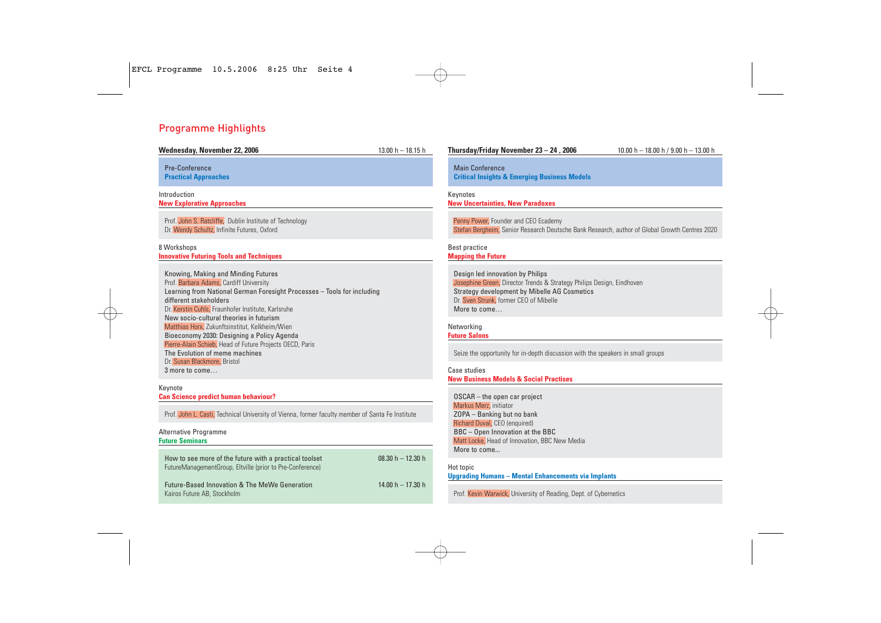### Programme Highlights

| Wednesday, November 22, 2006                                                                                                                                                                                                                                                                                                                                                                                                                                                                                                         | $13.00 h - 18.15 h$ | Thursday/Friday November 23 - 24, 2006                                                                                                                                                                                                                                                                | 10.00 h $-$ 18.00 h / 9.00 h $-$ 13.00 h |  |
|--------------------------------------------------------------------------------------------------------------------------------------------------------------------------------------------------------------------------------------------------------------------------------------------------------------------------------------------------------------------------------------------------------------------------------------------------------------------------------------------------------------------------------------|---------------------|-------------------------------------------------------------------------------------------------------------------------------------------------------------------------------------------------------------------------------------------------------------------------------------------------------|------------------------------------------|--|
| <b>Pre-Conference</b><br><b>Practical Approaches</b>                                                                                                                                                                                                                                                                                                                                                                                                                                                                                 |                     | <b>Main Conference</b><br><b>Critical Insights &amp; Emerging Business Models</b>                                                                                                                                                                                                                     |                                          |  |
| Introduction<br><b>New Explorative Approaches</b>                                                                                                                                                                                                                                                                                                                                                                                                                                                                                    |                     | Keynotes<br><b>New Uncertainties, New Paradoxes</b>                                                                                                                                                                                                                                                   |                                          |  |
| Prof. John S. Ratcliffe, Dublin Institute of Technology<br>Dr. Wendy Schultz, Infinite Futures, Oxford                                                                                                                                                                                                                                                                                                                                                                                                                               |                     | Penny Power, Founder and CEO Ecademy<br>Stefan Bergheim, Senior Research Deutsche Bank Research, author of Global Growth Centres 2020                                                                                                                                                                 |                                          |  |
| 8 Workshops<br><b>Innovative Futuring Tools and Techniques</b>                                                                                                                                                                                                                                                                                                                                                                                                                                                                       |                     | Best practice<br><b>Mapping the Future</b>                                                                                                                                                                                                                                                            |                                          |  |
| Knowing, Making and Minding Futures<br>Prof. Barbara Adams, Cardiff University<br>Learning from National German Foresight Processes - Tools for including<br>different stakeholders<br>Dr. Kerstin Cuhls, Fraunhofer Institute, Karlsruhe<br>New socio-cultural theories in futurism<br>Matthias Horx, Zukunftsinstitut, Kelkheim/Wien<br>Bioeconomy 2030: Designing a Policy Agenda<br>Pierre-Alain Schieb, Head of Future Projects OECD, Paris<br>The Evolution of meme machines<br>Dr. Susan Blackmore, Bristol<br>3 more to come |                     | Design led innovation by Philips<br>Josephine Green, Director Trends & Strategy Philips Design, Eindhoven<br>Strategy development by Mibelle AG Cosmetics<br>Dr. Sven Strunk, former CEO of Mibelle<br>More to come<br>Networking                                                                     |                                          |  |
|                                                                                                                                                                                                                                                                                                                                                                                                                                                                                                                                      |                     | <b>Future Salons</b><br>Seize the opportunity for in-depth discussion with the speakers in small groups<br>Case studies                                                                                                                                                                               |                                          |  |
| Keynote                                                                                                                                                                                                                                                                                                                                                                                                                                                                                                                              |                     | <b>New Business Models &amp; Social Practises</b>                                                                                                                                                                                                                                                     |                                          |  |
| <b>Can Science predict human behaviour?</b><br>Prof. John L. Casti, Technical University of Vienna, former faculty member of Santa Fe Institute<br>Alternative Programme<br><b>Future Seminars</b>                                                                                                                                                                                                                                                                                                                                   |                     | OSCAR - the open car project<br>Markus Merz, initiator<br>ZOPA - Banking but no bank<br>Richard Duval, CEO (enquired)<br>BBC - Open Innovation at the BBC<br>Matt Locke, Head of Innovation, BBC New Media<br>More to come<br>Hot topic<br><b>Upgrading Humans - Mental Enhancements via Implants</b> |                                          |  |
| How to see more of the future with a practical toolset<br>FutureManagementGroup, Eltville (prior to Pre-Conference)                                                                                                                                                                                                                                                                                                                                                                                                                  | 08.30 h $-$ 12.30 h |                                                                                                                                                                                                                                                                                                       |                                          |  |
| Future-Based Innovation & The MeWe Generation<br>14.00 h $-$ 17.30 h<br>Kairos Future AB, Stockholm                                                                                                                                                                                                                                                                                                                                                                                                                                  |                     | Prof. Kevin Warwick, University of Reading, Dept. of Cybernetics                                                                                                                                                                                                                                      |                                          |  |
|                                                                                                                                                                                                                                                                                                                                                                                                                                                                                                                                      |                     |                                                                                                                                                                                                                                                                                                       |                                          |  |